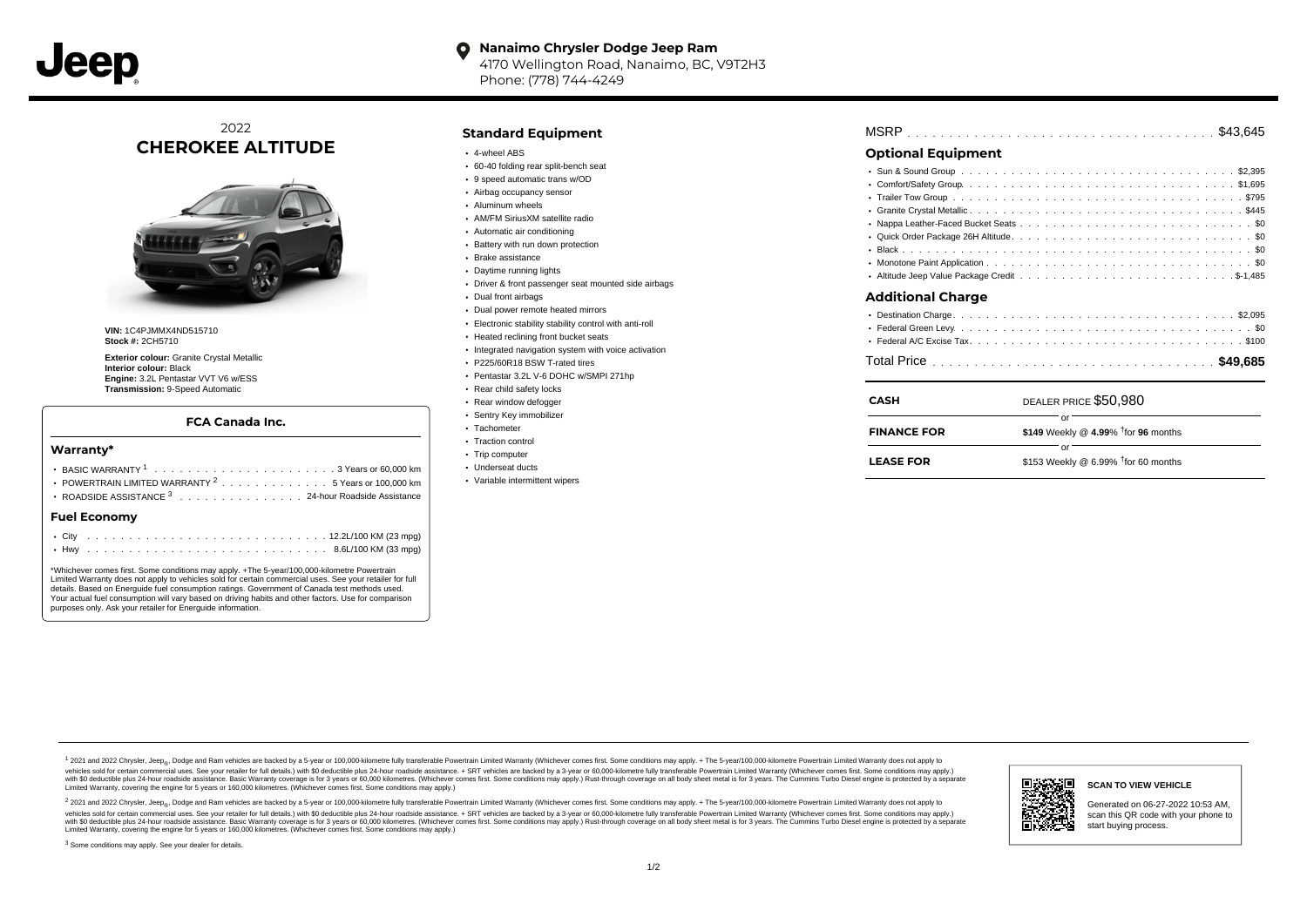

#### **Nanaimo Chrysler Dodge Jeep Ram**  $\bullet$ 4170 Wellington Road, Nanaimo, BC, V9T2H3 Phone: (778) 744-4249

## 2022 **CHEROKEE ALTITUDE**



**VIN:** 1C4PJMMX4ND515710 **Stock #:** 2CH5710

**Exterior colour:** Granite Crystal Metallic **Interior colour:** Black **Engine:** 3.2L Pentastar VVT V6 w/ESS **Transmission:** 9-Speed Automatic

#### **FCA Canada Inc.**

#### **Warranty\***

| <b>Fuel Economy</b> |  |  |  |  |  |                                                                |
|---------------------|--|--|--|--|--|----------------------------------------------------------------|
|                     |  |  |  |  |  | ROADSIDE ASSISTANCE 3 24-hour Roadside Assistance              |
|                     |  |  |  |  |  | POWERTRAIN LIMITED WARRANTY <sup>2</sup> 5 Years or 100,000 km |
|                     |  |  |  |  |  |                                                                |
|                     |  |  |  |  |  |                                                                |

\*Whichever comes first. Some conditions may apply. +The 5-year/100,000-kilometre Powertrain Limited Warranty does not apply to vehicles sold for certain commercial uses. See your retailer for full details. Based on Energuide fuel consumption ratings. Government of Canada test methods used. Your actual fuel consumption will vary based on driving habits and other factors. Use for comparison purposes only. Ask your retailer for Energuide information.

#### **Standard Equipment**

- 4-wheel ABS
- 60-40 folding rear split-bench seat
- 9 speed automatic trans w/OD
- Airbag occupancy sensor
- Aluminum wheels
- AM/FM SiriusXM satellite radio
- Automatic air conditioning
- Battery with run down protection
- Brake assistance
- Daytime running lights
- Driver & front passenger seat mounted side airbags
- Dual front airbags
- Dual power remote heated mirrors
- Electronic stability stability control with anti-roll
- Heated reclining front bucket seats
- Integrated navigation system with voice activation
- P225/60R18 BSW T-rated tires
- Pentastar 3.2L V-6 DOHC w/SMPI 271hp
- Rear child safety locks
- Rear window defogger
- Sentry Key immobilizer
- · Tachometer
- Traction control
- Trip computer
- Underseat ducts
- Variable intermittent wipers

| <b>MSRP</b> |  |  |  |  |  |  |  |  |  |  |  |  |  |  |  |  |  |  |  |  |  |  |  |  |  |  |  |  |  |  |  |  |  |  |  |  |  |  |  |
|-------------|--|--|--|--|--|--|--|--|--|--|--|--|--|--|--|--|--|--|--|--|--|--|--|--|--|--|--|--|--|--|--|--|--|--|--|--|--|--|--|
|-------------|--|--|--|--|--|--|--|--|--|--|--|--|--|--|--|--|--|--|--|--|--|--|--|--|--|--|--|--|--|--|--|--|--|--|--|--|--|--|--|

## **Optional Equipment**

| Additional Charge |  |
|-------------------|--|
|                   |  |
|                   |  |

| <b>CASH</b>        | DEALER PRICE \$50.980                  |
|--------------------|----------------------------------------|
| <b>FINANCE FOR</b> | \$149 Weekly @ 4.99% $†$ for 96 months |
| <b>LEASE FOR</b>   | \$153 Weekly @ 6.99% $†$ for 60 months |
|                    |                                        |

1 2021 and 2022 Chrysler, Jeep<sub>er</sub>, Dodge and Ram vehicles are backed by a 5-year or 100,000-kilometre fully transferable Powertrain Limited Warranty (Whichever comes first. Some conditions may apply. + The 5-year/100,000vehicles sold for certain commercial uses. See your retailer for full details.) with \$0 deductible plus 24-hour roadside assistance. + SRT vehicles are backed by a 3-year or 60,000-kilometre fully transferable Powertrain L versus and contract the mean of the contract of the contract with a contract with a contract the contract of the search of the contract and a control of the contract and contract and control of the search of the search of Limited Warranty, covering the engine for 5 years or 160,000 kilometres. (Whichever comes first. Some conditions may apply.)

<sup>2</sup> 2021 and 2022 Chrysler, Jeep<sub>®</sub>, Dodge and Ram vehicles are backed by a 5-year or 100,000-kilometre fully transferable Powertrain Limited Warranty (Whichever comes first. Some conditions may apply. + The 5-year/100,000 vehicles sold for certain commercial uses. See your retailer for full details.) with SO deductible plus 24-hour roadside assistance. + SRT vehicles are backed by a 3-year or 60.000-kilometre fully transferable Powertrain L with S0 deductible plus 24-hour roadside assistance. Basic Warranty coverage is for 3 years or 60,000 kilometres. (Whichever comes first. Some conditions may apply.) Rust-through coverage on all body sheet metal is for 3 y

<sup>3</sup> Some conditions may apply. See your dealer for details.